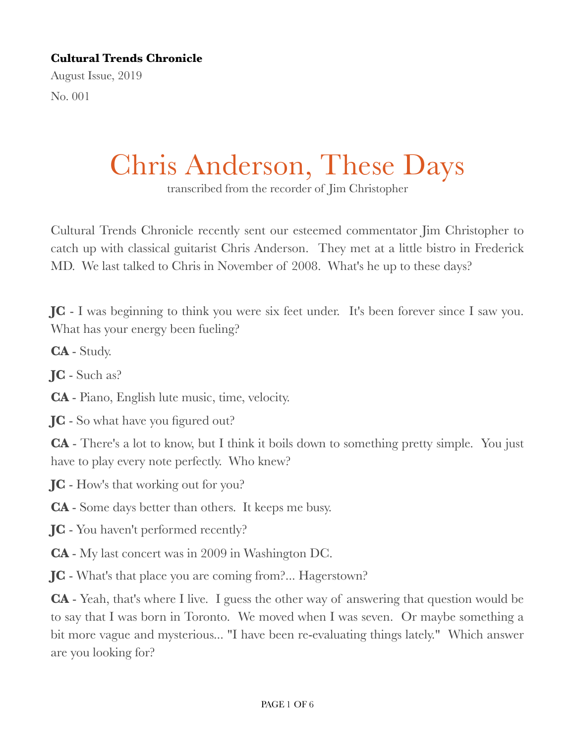## **Cultural Trends Chronicle**

August Issue, 2019 No. 001

Chris Anderson, These Days

transcribed from the recorder of Jim Christopher

Cultural Trends Chronicle recently sent our esteemed commentator Jim Christopher to catch up with classical guitarist Chris Anderson. They met at a little bistro in Frederick MD. We last talked to Chris in November of 2008. What's he up to these days?

**JC** - I was beginning to think you were six feet under. It's been forever since I saw you. What has your energy been fueling?

**CA** - Study.

**JC** - Such as?

**CA** - Piano, English lute music, time, velocity.

**JC** - So what have you figured out?

**CA** - There's a lot to know, but I think it boils down to something pretty simple. You just have to play every note perfectly. Who knew?

**JC** - How's that working out for you?

**CA** - Some days better than others. It keeps me busy.

**JC** - You haven't performed recently?

**CA** - My last concert was in 2009 in Washington DC.

**JC** - What's that place you are coming from?... Hagerstown?

**CA** - Yeah, that's where I live. I guess the other way of answering that question would be to say that I was born in Toronto. We moved when I was seven. Or maybe something a bit more vague and mysterious... "I have been re-evaluating things lately." Which answer are you looking for?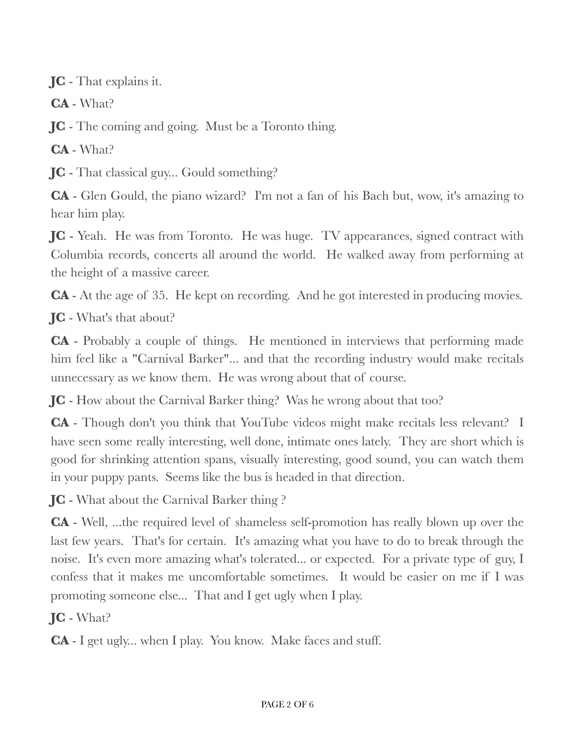**JC** - That explains it.

**CA** - What?

**JC** - The coming and going. Must be a Toronto thing.

**CA** - What?

**JC** - That classical guy... Gould something?

**CA** - Glen Gould, the piano wizard? I'm not a fan of his Bach but, wow, it's amazing to hear him play.

**JC** - Yeah. He was from Toronto. He was huge. TV appearances, signed contract with Columbia records, concerts all around the world. He walked away from performing at the height of a massive career.

**CA** - At the age of 35. He kept on recording. And he got interested in producing movies.

**JC** - What's that about?

**CA** - Probably a couple of things. He mentioned in interviews that performing made him feel like a "Carnival Barker"... and that the recording industry would make recitals unnecessary as we know them. He was wrong about that of course.

**JC** - How about the Carnival Barker thing? Was he wrong about that too?

**CA** - Though don't you think that YouTube videos might make recitals less relevant? I have seen some really interesting, well done, intimate ones lately. They are short which is good for shrinking attention spans, visually interesting, good sound, you can watch them in your puppy pants. Seems like the bus is headed in that direction.

**JC** - What about the Carnival Barker thing ?

**CA** - Well, ...the required level of shameless self-promotion has really blown up over the last few years. That's for certain. It's amazing what you have to do to break through the noise. It's even more amazing what's tolerated... or expected. For a private type of guy, I confess that it makes me uncomfortable sometimes. It would be easier on me if I was promoting someone else... That and I get ugly when I play.

**JC** - What?

**CA** - I get ugly... when I play. You know. Make faces and stuff.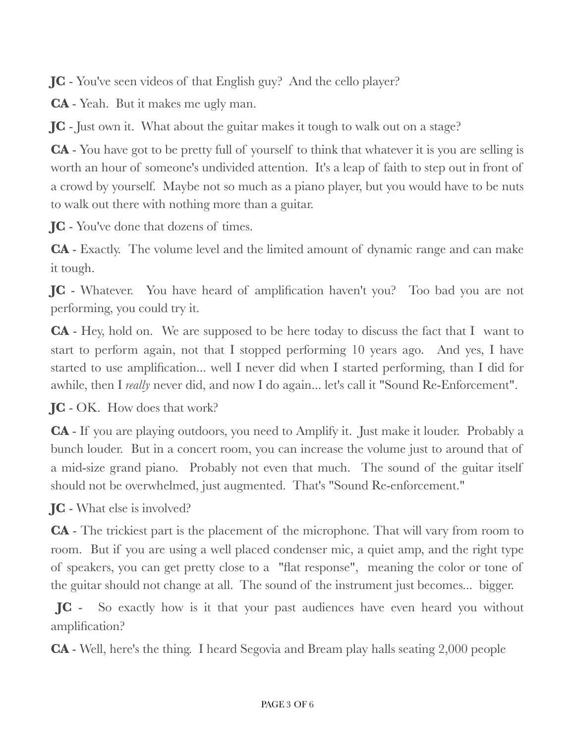**JC** - You've seen videos of that English guy? And the cello player?

**CA** - Yeah. But it makes me ugly man.

**JC** - Just own it. What about the guitar makes it tough to walk out on a stage?

**CA** - You have got to be pretty full of yourself to think that whatever it is you are selling is worth an hour of someone's undivided attention. It's a leap of faith to step out in front of a crowd by yourself. Maybe not so much as a piano player, but you would have to be nuts to walk out there with nothing more than a guitar.

**JC** - You've done that dozens of times.

**CA** - Exactly. The volume level and the limited amount of dynamic range and can make it tough.

**JC** - Whatever. You have heard of amplification haven't you? Too bad you are not performing, you could try it.

**CA** - Hey, hold on. We are supposed to be here today to discuss the fact that I want to start to perform again, not that I stopped performing 10 years ago. And yes, I have started to use amplification... well I never did when I started performing, than I did for awhile, then I *really* never did, and now I do again... let's call it "Sound Re-Enforcement".

**JC** - OK. How does that work?

**CA** - If you are playing outdoors, you need to Amplify it. Just make it louder. Probably a bunch louder. But in a concert room, you can increase the volume just to around that of a mid-size grand piano. Probably not even that much. The sound of the guitar itself should not be overwhelmed, just augmented. That's "Sound Re-enforcement."

**JC** - What else is involved?

**CA** - The trickiest part is the placement of the microphone. That will vary from room to room. But if you are using a well placed condenser mic, a quiet amp, and the right type of speakers, you can get pretty close to a "flat response", meaning the color or tone of the guitar should not change at all. The sound of the instrument just becomes... bigger.

**JC** - So exactly how is it that your past audiences have even heard you without amplification?

**CA** - Well, here's the thing. I heard Segovia and Bream play halls seating 2,000 people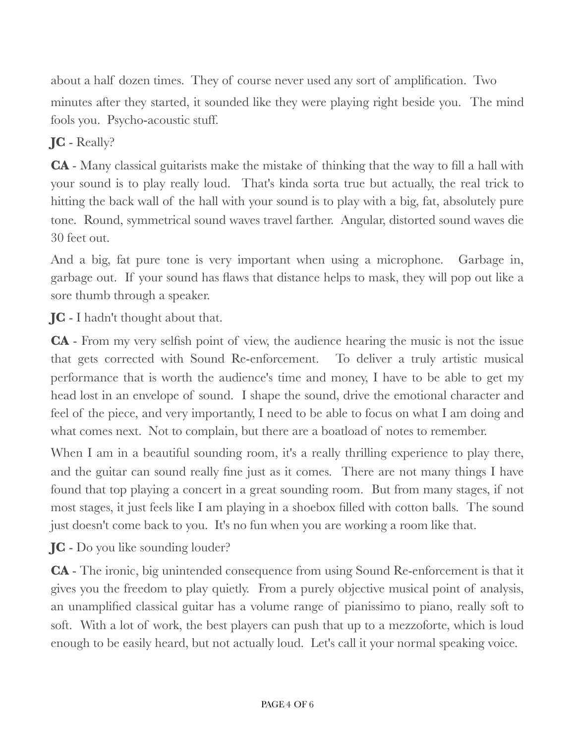about a half dozen times. They of course never used any sort of amplification. Two minutes after they started, it sounded like they were playing right beside you. The mind fools you. Psycho-acoustic stuff.

## **JC** - Really?

**CA** - Many classical guitarists make the mistake of thinking that the way to fill a hall with your sound is to play really loud. That's kinda sorta true but actually, the real trick to hitting the back wall of the hall with your sound is to play with a big, fat, absolutely pure tone. Round, symmetrical sound waves travel farther. Angular, distorted sound waves die 30 feet out.

And a big, fat pure tone is very important when using a microphone. Garbage in, garbage out. If your sound has flaws that distance helps to mask, they will pop out like a sore thumb through a speaker.

**JC** - I hadn't thought about that.

**CA** - From my very selfish point of view, the audience hearing the music is not the issue that gets corrected with Sound Re-enforcement. To deliver a truly artistic musical performance that is worth the audience's time and money, I have to be able to get my head lost in an envelope of sound. I shape the sound, drive the emotional character and feel of the piece, and very importantly, I need to be able to focus on what I am doing and what comes next. Not to complain, but there are a boat load of notes to remember.

When I am in a beautiful sounding room, it's a really thrilling experience to play there, and the guitar can sound really fine just as it comes. There are not many things I have found that top playing a concert in a great sounding room. But from many stages, if not most stages, it just feels like I am playing in a shoebox filled with cotton balls. The sound just doesn't come back to you. It's no fun when you are working a room like that.

**JC** - Do you like sounding louder?

**CA** - The ironic, big unintended consequence from using Sound Re-enforcement is that it gives you the freedom to play quietly. From a purely objective musical point of analysis, an unamplified classical guitar has a volume range of pianissimo to piano, really soft to soft. With a lot of work, the best players can push that up to a mezzoforte, which is loud enough to be easily heard, but not actually loud. Let's call it your normal speaking voice.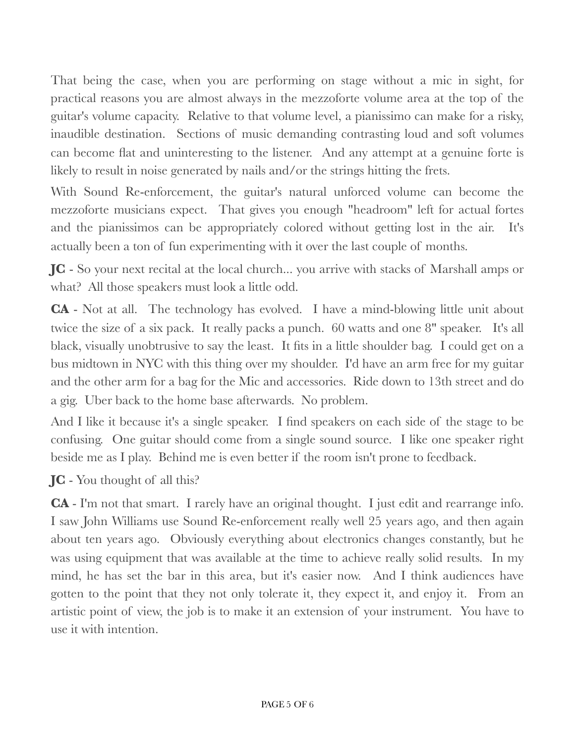That being the case, when you are performing on stage without a mic in sight, for practical reasons you are almost always in the mezzoforte volume area at the top of the guitar's volume capacity. Relative to that volume level, a pianissimo can make for a risky, inaudible destination. Sections of music demanding contrasting loud and soft volumes can become flat and uninteresting to the listener. And any attempt at a genuine forte is likely to result in noise generated by nails and/or the strings hitting the frets.

With Sound Re-enforcement, the guitar's natural unforced volume can become the mezzoforte musicians expect. That gives you enough "headroom" left for actual fortes and the pianissimos can be appropriately colored without getting lost in the air. It's actually been a ton of fun experimenting with it over the last couple of months.

**JC** - So your next recital at the local church... you arrive with stacks of Marshall amps or what? All those speakers must look a little odd.

**CA** - Not at all. The technology has evolved. I have a mind-blowing little unit about twice the size of a six pack. It really packs a punch. 60 watts and one 8" speaker. It's all black, visually unobtrusive to say the least. It fits in a little shoulder bag. I could get on a bus midtown in NYC with this thing over my shoulder. I'd have an arm free for my guitar and the other arm for a bag for the Mic and accessories. Ride down to 13th street and do a gig. Uber back to the home base afterwards. No problem.

And I like it because it's a single speaker. I find speakers on each side of the stage to be confusing. One guitar should come from a single sound source. I like one speaker right beside me as I play. Behind me is even better if the room isn't prone to feedback.

**JC** - You thought of all this?

**CA** - I'm not that smart. I rarely have an original thought. I just edit and rearrange info. I saw John Williams use Sound Re-enforcement really well 25 years ago, and then again about ten years ago. Obviously everything about electronics changes constantly, but he was using equipment that was available at the time to achieve really solid results. In my mind, he has set the bar in this area, but it's easier now. And I think audiences have gotten to the point that they not only tolerate it, they expect it, and enjoy it. From an artistic point of view, the job is to make it an extension of your instrument. You have to use it with intention.